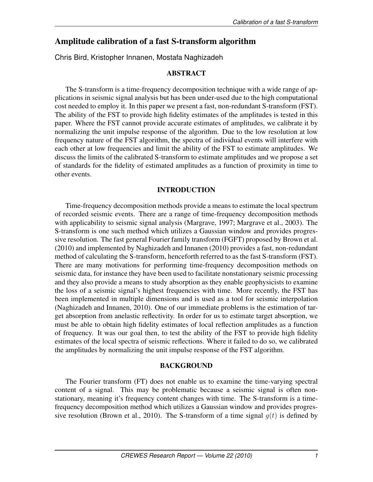# Amplitude calibration of a fast S-transform algorithm

Chris Bird, Kristopher Innanen, Mostafa Naghizadeh

## ABSTRACT

The S-transform is a time-frequency decomposition technique with a wide range of applications in seismic signal analysis but has been under-used due to the high computational cost needed to employ it. In this paper we present a fast, non-redundant S-transform (FST). The ability of the FST to provide high fidelity estimates of the amplitudes is tested in this paper. Where the FST cannot provide accurate estimates of amplitudes, we calibrate it by normalizing the unit impulse response of the algorithm. Due to the low resolution at low frequency nature of the FST algorithm, the spectra of individual events will interfere with each other at low frequencies and limit the ability of the FST to estimate amplitudes. We discuss the limits of the calibrated S-transform to estimate amplitudes and we propose a set of standards for the fidelity of estimated amplitudes as a function of proximity in time to other events.

### INTRODUCTION

Time-frequency decomposition methods provide a means to estimate the local spectrum of recorded seismic events. There are a range of time-frequency decomposition methods with applicability to seismic signal analysis (Margrave, 1997; Margrave et al., 2003). The S-transform is one such method which utilizes a Gaussian window and provides progressive resolution. The fast general Fourier family transform (FGFT) proposed by Brown et al. (2010) and implemented by Naghizadeh and Innanen (2010) provides a fast, non-redundant method of calculating the S-transform, henceforth referred to as the fast S-transform (FST). There are many motivations for performing time-frequency decomposition methods on seismic data, for instance they have been used to facilitate nonstationary seismic processing and they also provide a means to study absorption as they enable geophysicists to examine the loss of a seismic signal's highest frequencies with time. More recently, the FST has been implemented in multiple dimensions and is used as a tool for seismic interpolation (Naghizadeh and Innanen, 2010). One of our immediate problems is the estimation of target absorption from anelastic reflectivity. In order for us to estimate target absorption, we must be able to obtain high fidelity estimates of local reflection amplitudes as a function of frequency. It was our goal then, to test the ability of the FST to provide high fidelity estimates of the local spectra of seismic reflections. Where it failed to do so, we calibrated the amplitudes by normalizing the unit impulse response of the FST algorithm.

#### BACKGROUND

The Fourier transform (FT) does not enable us to examine the time-varying spectral content of a signal. This may be problematic because a seismic signal is often nonstationary, meaning it's frequency content changes with time. The S-transform is a timefrequency decomposition method which utilizes a Gaussian window and provides progressive resolution (Brown et al., 2010). The S-transform of a time signal  $q(t)$  is defined by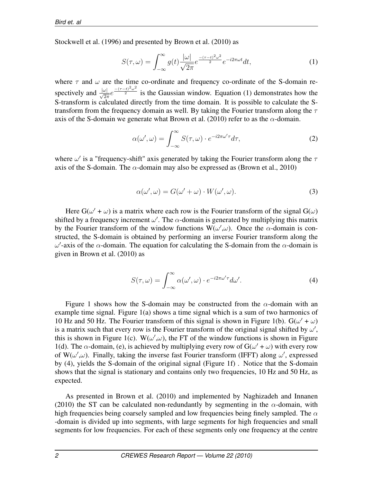Stockwell et al. (1996) and presented by Brown et al. (2010) as

$$
S(\tau,\omega) = \int_{-\infty}^{\infty} g(t) \frac{|\omega|}{\sqrt{2\pi}} e^{\frac{-(\tau-t)^2 \omega^2}{2}} e^{-i2\pi\omega t} dt,
$$
\n(1)

where  $\tau$  and  $\omega$  are the time co-ordinate and frequency co-ordinate of the S-domain respectively and  $\frac{|\omega|}{\sqrt{2\pi}}e^{-\frac{(-\tau-t)^2\omega^2}{2}}$  is the Gaussian window. Equation (1) demonstrates how the S-transform is calculated directly from the time domain. It is possible to calculate the Stransform from the frequency domain as well. By taking the Fourier transform along the  $\tau$ axis of the S-domain we generate what Brown et al. (2010) refer to as the  $\alpha$ -domain.

$$
\alpha(\omega', \omega) = \int_{-\infty}^{\infty} S(\tau, \omega) \cdot e^{-i2\pi\omega'\tau} d\tau,
$$
\n(2)

where  $\omega'$  is a "frequency-shift" axis generated by taking the Fourier transform along the  $\tau$ axis of the S-domain. The  $\alpha$ -domain may also be expressed as (Brown et al., 2010)

$$
\alpha(\omega', \omega) = G(\omega' + \omega) \cdot W(\omega', \omega). \tag{3}
$$

Here  $G(\omega' + \omega)$  is a matrix where each row is the Fourier transform of the signal  $G(\omega)$ shifted by a frequency increment  $\omega'$ . The  $\alpha$ -domain is generated by multiplying this matrix by the Fourier transform of the window functions  $W(\omega', \omega)$ . Once the  $\alpha$ -domain is constructed, the S-domain is obtained by performing an inverse Fourier transform along the  $ω'$ -axis of the  $α$ -domain. The equation for calculating the S-domain from the  $α$ -domain is given in Brown et al. (2010) as

$$
S(\tau,\omega) = \int_{-\infty}^{\infty} \alpha(\omega',\omega) \cdot e^{-i2\pi\omega'\tau} d\omega'. \tag{4}
$$

Figure 1 shows how the S-domain may be constructed from the  $\alpha$ -domain with an example time signal. Figure 1(a) shows a time signal which is a sum of two harmonics of 10 Hz and 50 Hz. The Fourier transform of this signal is shown in Figure 1(b).  $G(\omega' + \omega)$ is a matrix such that every row is the Fourier transform of the original signal shifted by  $\omega'$ , this is shown in Figure 1(c). W( $\omega', \omega$ ), the FT of the window functions is shown in Figure 1(d). The  $\alpha$ -domain, (e), is achieved by multiplying every row of  $G(\omega' + \omega)$  with every row of W( $\omega', \omega$ ). Finally, taking the inverse fast Fourier transform (IFFT) along  $\omega'$ , expressed by (4), yields the S-domain of the original signal (Figure 1f) . Notice that the S-domain shows that the signal is stationary and contains only two frequencies, 10 Hz and 50 Hz, as expected.

As presented in Brown et al. (2010) and implemented by Naghizadeh and Innanen (2010) the ST can be calculated non-redundantly by segmenting in the  $\alpha$ -domain, with high frequencies being coarsely sampled and low frequencies being finely sampled. The  $\alpha$ -domain is divided up into segments, with large segments for high frequencies and small segments for low frequencies. For each of these segments only one frequency at the centre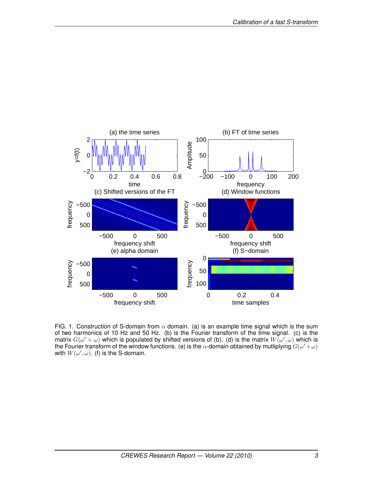

FIG. 1. Construction of S-domain from  $\alpha$  domain. (a) is an example time signal which is the sum of two harmonics of 10 Hz and 50 Hz. (b) is the Fourier transform of the time signal. (c) is the matrix  $G(\omega'+\omega)$  which is populated by shifted versions of (b). (d) is the matrix  $W(\omega',\omega)$  which is the Fourier transform of the window functions. (e) is the  $\alpha$ -domain obtained by mutliplying  $G(\omega'+\omega)$ with  $W(\omega', \omega)$ . (f) is the S-domain.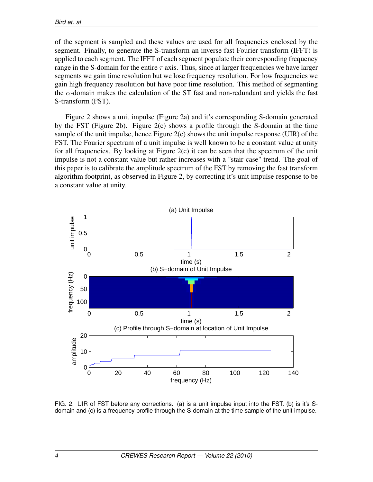of the segment is sampled and these values are used for all frequencies enclosed by the segment. Finally, to generate the S-transform an inverse fast Fourier transform (IFFT) is applied to each segment. The IFFT of each segment populate their corresponding frequency range in the S-domain for the entire  $\tau$  axis. Thus, since at larger frequencies we have larger segments we gain time resolution but we lose frequency resolution. For low frequencies we gain high frequency resolution but have poor time resolution. This method of segmenting the  $\alpha$ -domain makes the calculation of the ST fast and non-redundant and yields the fast S-transform (FST).

Figure 2 shows a unit impulse (Figure 2a) and it's corresponding S-domain generated by the FST (Figure 2b). Figure 2(c) shows a profile through the S-domain at the time sample of the unit impulse, hence Figure  $2(c)$  shows the unit impulse response (UIR) of the FST. The Fourier spectrum of a unit impulse is well known to be a constant value at unity for all frequencies. By looking at Figure  $2(c)$  it can be seen that the spectrum of the unit impulse is not a constant value but rather increases with a "stair-case" trend. The goal of this paper is to calibrate the amplitude spectrum of the FST by removing the fast transform algorithm footprint, as observed in Figure 2, by correcting it's unit impulse response to be a constant value at unity.



FIG. 2. UIR of FST before any corrections. (a) is a unit impulse input into the FST. (b) is it's Sdomain and (c) is a frequency profile through the S-domain at the time sample of the unit impulse.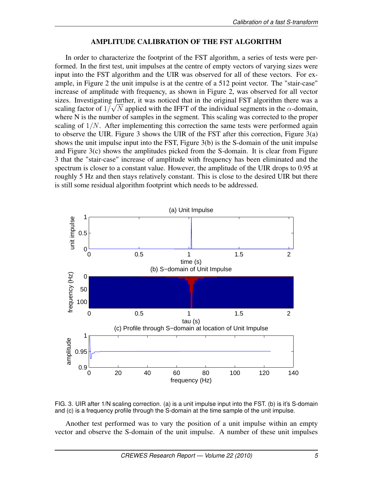## AMPLITUDE CALIBRATION OF THE FST ALGORITHM

In order to characterize the footprint of the FST algorithm, a series of tests were performed. In the first test, unit impulses at the centre of empty vectors of varying sizes were input into the FST algorithm and the UIR was observed for all of these vectors. For example, in Figure 2 the unit impulse is at the centre of a 512 point vector. The "stair-case" increase of amplitude with frequency, as shown in Figure 2, was observed for all vector sizes. Investigating further, it was noticed that in the original FST algorithm there was a scaling factor of  $1/\sqrt{N}$  applied with the IFFT of the individual segments in the  $\alpha$ -domain, where N is the number of samples in the segment. This scaling was corrected to the proper scaling of  $1/N$ . After implementing this correction the same tests were performed again to observe the UIR. Figure 3 shows the UIR of the FST after this correction, Figure 3(a) shows the unit impulse input into the FST, Figure 3(b) is the S-domain of the unit impulse and Figure 3(c) shows the amplitudes picked from the S-domain. It is clear from Figure 3 that the "stair-case" increase of amplitude with frequency has been eliminated and the spectrum is closer to a constant value. However, the amplitude of the UIR drops to 0.95 at roughly 5 Hz and then stays relatively constant. This is close to the desired UIR but there is still some residual algorithm footprint which needs to be addressed.





Another test performed was to vary the position of a unit impulse within an empty vector and observe the S-domain of the unit impulse. A number of these unit impulses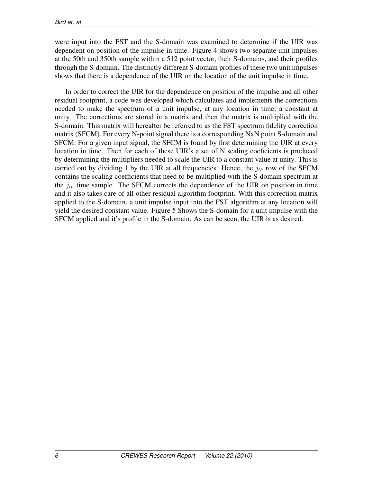were input into the FST and the S-domain was examined to determine if the UIR was dependent on position of the impulse in time. Figure 4 shows two separate unit impulses at the 50th and 350th sample within a 512 point vector, their S-domains, and their profiles through the S-domain. The distinctly different S-domain profiles of these two unit impulses shows that there is a dependence of the UIR on the location of the unit impulse in time.

In order to correct the UIR for the dependence on position of the impulse and all other residual footprint, a code was developed which calculates and implements the corrections needed to make the spectrum of a unit impulse, at any location in time, a constant at unity. The corrections are stored in a matrix and then the matrix is multiplied with the S-domain. This matrix will hereafter be referred to as the FST spectrum fidelity correction matrix (SFCM). For every N-point signal there is a corresponding NxN point S-domain and SFCM. For a given input signal, the SFCM is found by first determining the UIR at every location in time. Then for each of these UIR's a set of N scaling coeficients is produced by determining the multipliers needed to scale the UIR to a constant value at unity. This is carried out by dividing 1 by the UIR at all frequencies. Hence, the  $j_{th}$  row of the SFCM contains the scaling coefficients that need to be multiplied with the S-domain spectrum at the  $j_{th}$  time sample. The SFCM corrects the dependence of the UIR on position in time and it also takes care of all other residual algorithm footprint. With this correction matrix applied to the S-domain, a unit impulse input into the FST algorithm at any location will yield the desired constant value. Figure 5 Shows the S-domain for a unit impulse with the SFCM applied and it's profile in the S-domain. As can be seen, the UIR is as desired.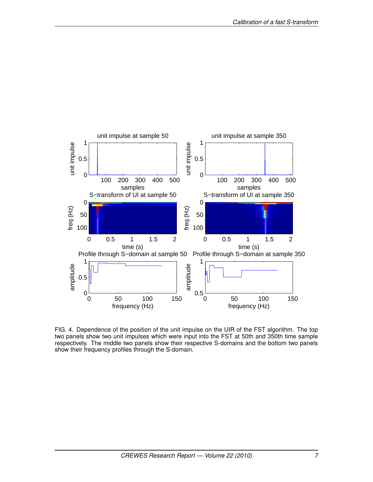

FIG. 4. Dependence of the position of the unit impulse on the UIR of the FST algorithm. The top two panels show two unit impulses which were input into the FST at 50th and 350th time sample respectively. The middle two panels show their respective S-domains and the bottom two panels show their frequency profiles through the S-domain.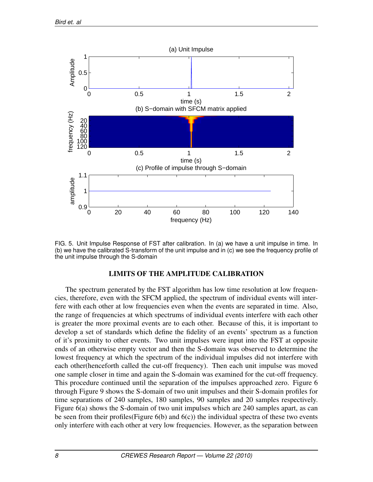

FIG. 5. Unit Impulse Response of FST after calibration. In (a) we have a unit impulse in time. In (b) we have the calibrated S-transform of the unit impulse and in (c) we see the frequency profile of the unit impulse through the S-domain

#### LIMITS OF THE AMPLITUDE CALIBRATION

The spectrum generated by the FST algorithm has low time resolution at low frequencies, therefore, even with the SFCM applied, the spectrum of individual events will interfere with each other at low frequencies even when the events are separated in time. Also, the range of frequencies at which spectrums of individual events interfere with each other is greater the more proximal events are to each other. Because of this, it is important to develop a set of standards which define the fidelity of an events' spectrum as a function of it's proximity to other events. Two unit impulses were input into the FST at opposite ends of an otherwise empty vector and then the S-domain was observed to determine the lowest frequency at which the spectrum of the individual impulses did not interfere with each other(henceforth called the cut-off frequency). Then each unit impulse was moved one sample closer in time and again the S-domain was examined for the cut-off frequency. This procedure continued until the separation of the impulses approached zero. Figure 6 through Figure 9 shows the S-domain of two unit impulses and their S-domain profiles for time separations of 240 samples, 180 samples, 90 samples and 20 samples respectively. Figure 6(a) shows the S-domain of two unit impulses which are 240 samples apart, as can be seen from their profiles (Figure  $6(b)$  and  $6(c)$ ) the individual spectra of these two events only interfere with each other at very low frequencies. However, as the separation between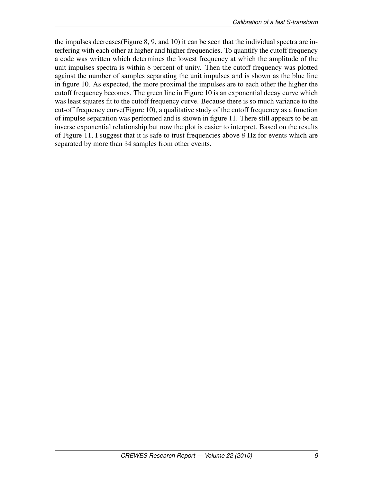the impulses decreases(Figure 8, 9, and 10) it can be seen that the individual spectra are interfering with each other at higher and higher frequencies. To quantify the cutoff frequency a code was written which determines the lowest frequency at which the amplitude of the unit impulses spectra is within 8 percent of unity. Then the cutoff frequency was plotted against the number of samples separating the unit impulses and is shown as the blue line in figure 10. As expected, the more proximal the impulses are to each other the higher the cutoff frequency becomes. The green line in Figure 10 is an exponential decay curve which was least squares fit to the cutoff frequency curve. Because there is so much variance to the cut-off frequency curve(Figure 10), a qualitative study of the cutoff frequency as a function of impulse separation was performed and is shown in figure 11. There still appears to be an inverse exponential relationship but now the plot is easier to interpret. Based on the results of Figure 11, I suggest that it is safe to trust frequencies above 8 Hz for events which are separated by more than 34 samples from other events.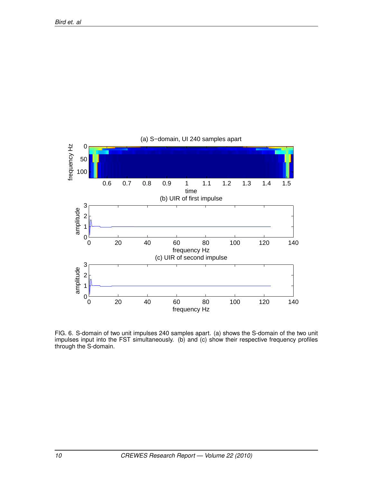

FIG. 6. S-domain of two unit impulses 240 samples apart. (a) shows the S-domain of the two unit impulses input into the FST simultaneously. (b) and (c) show their respective frequency profiles through the S-domain.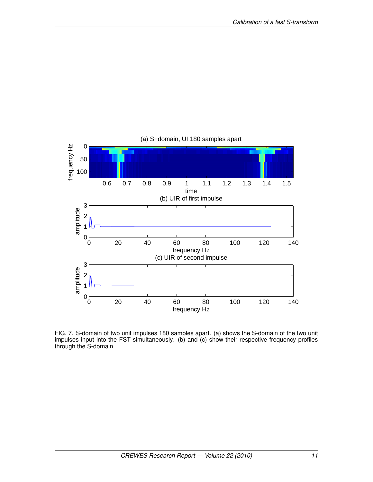

FIG. 7. S-domain of two unit impulses 180 samples apart. (a) shows the S-domain of the two unit impulses input into the FST simultaneously. (b) and (c) show their respective frequency profiles through the S-domain.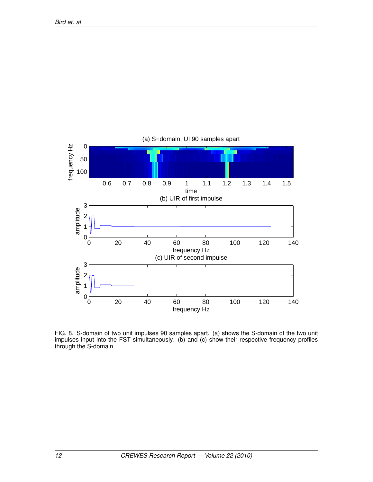

FIG. 8. S-domain of two unit impulses 90 samples apart. (a) shows the S-domain of the two unit impulses input into the FST simultaneously. (b) and (c) show their respective frequency profiles through the S-domain.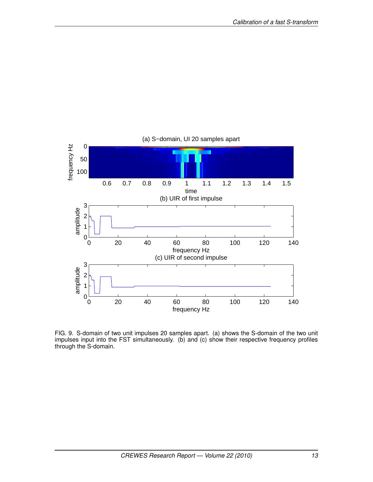

FIG. 9. S-domain of two unit impulses 20 samples apart. (a) shows the S-domain of the two unit impulses input into the FST simultaneously. (b) and (c) show their respective frequency profiles through the S-domain.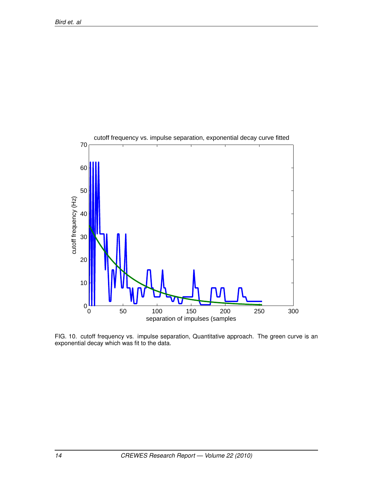

FIG. 10. cutoff frequency vs. impulse separation, Quantitative approach. The green curve is an exponential decay which was fit to the data.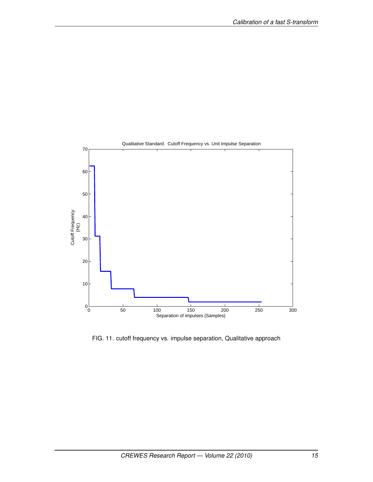

FIG. 11. cutoff frequency vs. impulse separation, Qualitative approach